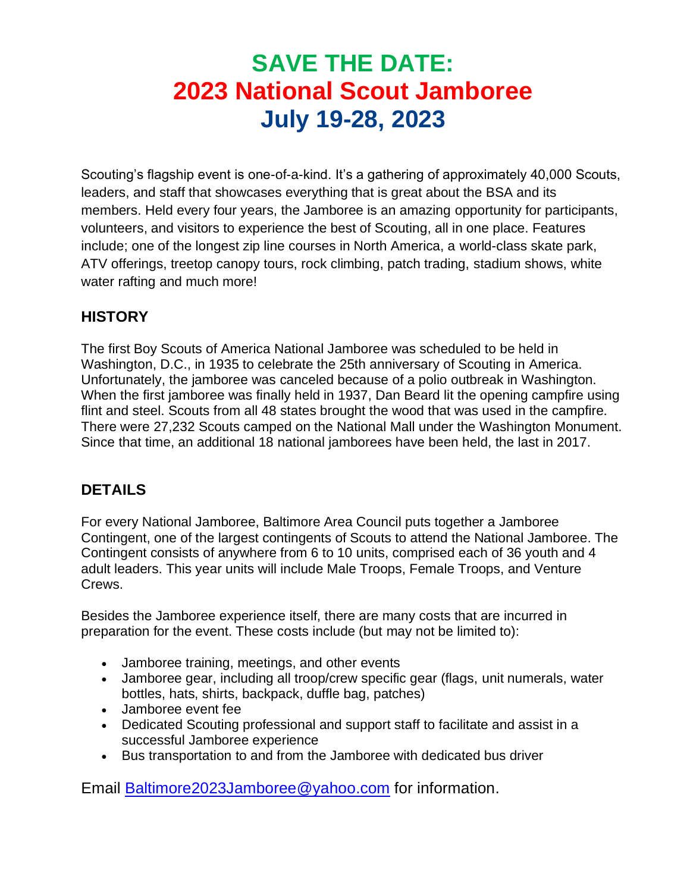# **SAVE THE DATE: 2023 National Scout Jamboree July 19-28, 2023**

Scouting's flagship event is one-of-a-kind. It's a gathering of approximately 40,000 Scouts, leaders, and staff that showcases everything that is great about the BSA and its members. Held every four years, the Jamboree is an amazing opportunity for participants, volunteers, and visitors to experience the best of Scouting, all in one place. Features include; one of the longest zip line courses in North America, a world-class skate park, ATV offerings, treetop canopy tours, rock climbing, patch trading, stadium shows, white water rafting and much more!

#### **HISTORY**

The first Boy Scouts of America National Jamboree was scheduled to be held in Washington, D.C., in 1935 to celebrate the 25th anniversary of Scouting in America. Unfortunately, the jamboree was canceled because of a polio outbreak in Washington. When the first jamboree was finally held in 1937, Dan Beard lit the opening campfire using flint and steel. Scouts from all 48 states brought the wood that was used in the campfire. There were 27,232 Scouts camped on the National Mall under the Washington Monument. Since that time, an additional 18 national jamborees have been held, the last in 2017.

### **DETAILS**

For every National Jamboree, Baltimore Area Council puts together a Jamboree Contingent, one of the largest contingents of Scouts to attend the National Jamboree. The Contingent consists of anywhere from 6 to 10 units, comprised each of 36 youth and 4 adult leaders. This year units will include Male Troops, Female Troops, and Venture Crews.

Besides the Jamboree experience itself, there are many costs that are incurred in preparation for the event. These costs include (but may not be limited to):

- Jamboree training, meetings, and other events
- Jamboree gear, including all troop/crew specific gear (flags, unit numerals, water bottles, hats, shirts, backpack, duffle bag, patches)
- Jamboree event fee
- Dedicated Scouting professional and support staff to facilitate and assist in a successful Jamboree experience
- Bus transportation to and from the Jamboree with dedicated bus driver

Email [Baltimore2023Jamboree@yahoo.com](Baltimore2023Jamboree@yahoo.com%20) for information.